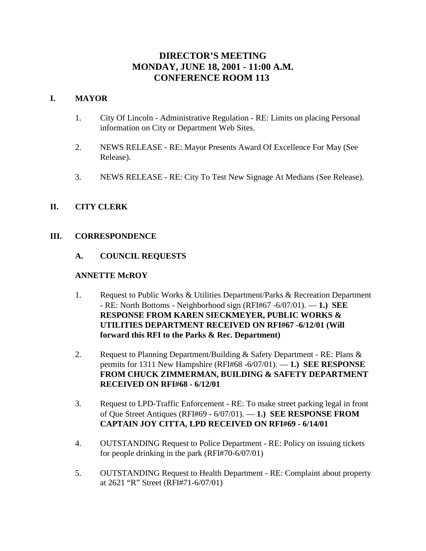# **DIRECTOR'S MEETING MONDAY, JUNE 18, 2001 - 11:00 A.M. CONFERENCE ROOM 113**

### **I. MAYOR**

- 1. City Of Lincoln Administrative Regulation RE: Limits on placing Personal information on City or Department Web Sites.
- 2. NEWS RELEASE RE: Mayor Presents Award Of Excellence For May (See Release).
- 3. NEWS RELEASE RE: City To Test New Signage At Medians (See Release).

## **II. CITY CLERK**

#### **III. CORRESPONDENCE**

#### **A. COUNCIL REQUESTS**

#### **ANNETTE McROY**

- 1. Request to Public Works & Utilities Department/Parks & Recreation Department - RE: North Bottoms - Neighborhood sign (RFI#67 -6/07/01). — **1.) SEE RESPONSE FROM KAREN SIECKMEYER, PUBLIC WORKS & UTILITIES DEPARTMENT RECEIVED ON RFI#67 -6/12/01 (Will forward this RFI to the Parks & Rec. Department)**
- 2. Request to Planning Department/Building & Safety Department RE: Plans & permits for 1311 New Hampshire (RFI#68 -6/07/01). — **1.) SEE RESPONSE FROM CHUCK ZIMMERMAN, BUILDING & SAFETY DEPARTMENT RECEIVED ON RFI#68 - 6/12/01**
- 3. Request to LPD-Traffic Enforcement RE: To make street parking legal in front of Que Street Antiques (RFI#69 - 6/07/01). — **1.) SEE RESPONSE FROM CAPTAIN JOY CITTA, LPD RECEIVED ON RFI#69 - 6/14/01**
- 4. OUTSTANDING Request to Police Department RE: Policy on issuing tickets for people drinking in the park (RFI#70-6/07/01)
- 5. OUTSTANDING Request to Health Department RE: Complaint about property at 2621 "R" Street (RFI#71-6/07/01)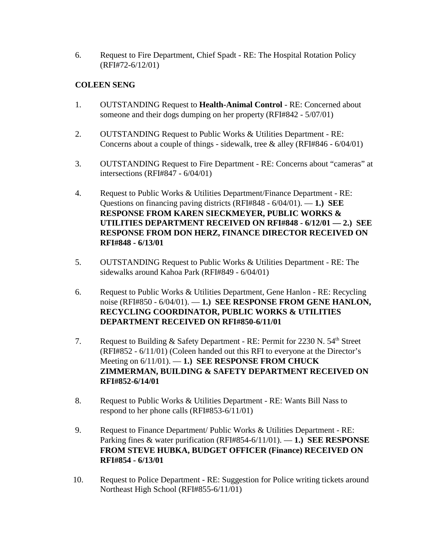6. Request to Fire Department, Chief Spadt - RE: The Hospital Rotation Policy (RFI#72-6/12/01)

## **COLEEN SENG**

- 1. OUTSTANDING Request to **Health-Animal Control** RE: Concerned about someone and their dogs dumping on her property (RFI#842 - 5/07/01)
- 2. OUTSTANDING Request to Public Works & Utilities Department RE: Concerns about a couple of things - sidewalk, tree & alley (RFI#846 - 6/04/01)
- 3. OUTSTANDING Request to Fire Department RE: Concerns about "cameras" at intersections (RFI#847 - 6/04/01)
- 4. Request to Public Works & Utilities Department/Finance Department RE: Questions on financing paving districts (RFI#848 - 6/04/01). — **1.) SEE RESPONSE FROM KAREN SIECKMEYER, PUBLIC WORKS & UTILITIES DEPARTMENT RECEIVED ON RFI#848 - 6/12/01 — 2.) SEE RESPONSE FROM DON HERZ, FINANCE DIRECTOR RECEIVED ON RFI#848 - 6/13/01**
- 5. OUTSTANDING Request to Public Works & Utilities Department RE: The sidewalks around Kahoa Park (RFI#849 - 6/04/01)
- 6. Request to Public Works & Utilities Department, Gene Hanlon RE: Recycling noise (RFI#850 - 6/04/01). — **1.) SEE RESPONSE FROM GENE HANLON, RECYCLING COORDINATOR, PUBLIC WORKS & UTILITIES DEPARTMENT RECEIVED ON RFI#850-6/11/01**
- 7. Request to Building & Safety Department RE: Permit for 2230 N. 54<sup>th</sup> Street (RFI#852 - 6/11/01) (Coleen handed out this RFI to everyone at the Director's Meeting on 6/11/01). — **1.) SEE RESPONSE FROM CHUCK ZIMMERMAN, BUILDING & SAFETY DEPARTMENT RECEIVED ON RFI#852-6/14/01**
- 8. Request to Public Works & Utilities Department RE: Wants Bill Nass to respond to her phone calls (RFI#853-6/11/01)
- 9. Request to Finance Department/ Public Works & Utilities Department RE: Parking fines & water purification (RFI#854-6/11/01). — **1.) SEE RESPONSE FROM STEVE HUBKA, BUDGET OFFICER (Finance) RECEIVED ON RFI#854 - 6/13/01**
- 10. Request to Police Department RE: Suggestion for Police writing tickets around Northeast High School (RFI#855-6/11/01)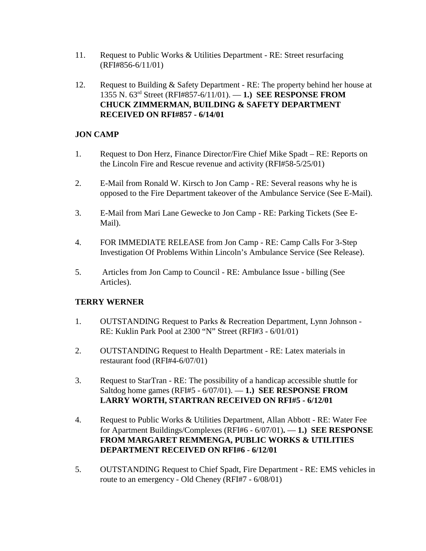- 11. Request to Public Works & Utilities Department RE: Street resurfacing (RFI#856-6/11/01)
- 12. Request to Building & Safety Department RE: The property behind her house at 1355 N. 63rd Street (RFI#857-6/11/01). — **1.) SEE RESPONSE FROM CHUCK ZIMMERMAN, BUILDING & SAFETY DEPARTMENT RECEIVED ON RFI#857 - 6/14/01**

## **JON CAMP**

- 1. Request to Don Herz, Finance Director/Fire Chief Mike Spadt RE: Reports on the Lincoln Fire and Rescue revenue and activity (RFI#58-5/25/01)
- 2. E-Mail from Ronald W. Kirsch to Jon Camp RE: Several reasons why he is opposed to the Fire Department takeover of the Ambulance Service (See E-Mail).
- 3. E-Mail from Mari Lane Gewecke to Jon Camp RE: Parking Tickets (See E-Mail).
- 4. FOR IMMEDIATE RELEASE from Jon Camp RE: Camp Calls For 3-Step Investigation Of Problems Within Lincoln's Ambulance Service (See Release).
- 5. Articles from Jon Camp to Council RE: Ambulance Issue billing (See Articles).

## **TERRY WERNER**

- 1. OUTSTANDING Request to Parks & Recreation Department, Lynn Johnson RE: Kuklin Park Pool at 2300 "N" Street (RFI#3 - 6/01/01)
- 2. OUTSTANDING Request to Health Department RE: Latex materials in restaurant food (RFI#4-6/07/01)
- 3. Request to StarTran RE: The possibility of a handicap accessible shuttle for Saltdog home games (RFI#5 - 6/07/01). — **1.) SEE RESPONSE FROM LARRY WORTH, STARTRAN RECEIVED ON RFI#5 - 6/12/01**
- 4. Request to Public Works & Utilities Department, Allan Abbott RE: Water Fee for Apartment Buildings/Complexes (RFI#6 - 6/07/01)**.** — **1.) SEE RESPONSE FROM MARGARET REMMENGA, PUBLIC WORKS & UTILITIES DEPARTMENT RECEIVED ON RFI#6 - 6/12/01**
- 5. OUTSTANDING Request to Chief Spadt, Fire Department RE: EMS vehicles in route to an emergency - Old Cheney (RFI#7 - 6/08/01)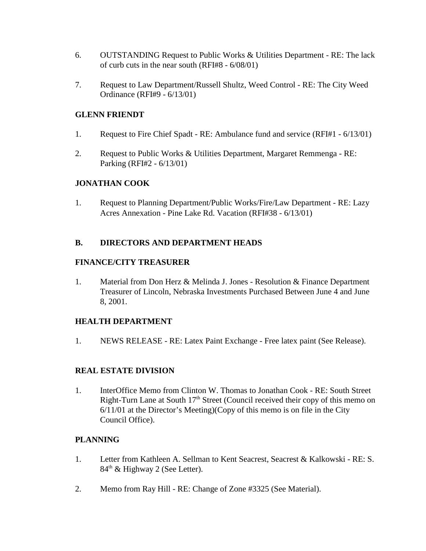- 6. OUTSTANDING Request to Public Works & Utilities Department RE: The lack of curb cuts in the near south (RFI#8 - 6/08/01)
- 7. Request to Law Department/Russell Shultz, Weed Control RE: The City Weed Ordinance (RFI#9 - 6/13/01)

## **GLENN FRIENDT**

- 1. Request to Fire Chief Spadt RE: Ambulance fund and service (RFI#1 6/13/01)
- 2. Request to Public Works & Utilities Department, Margaret Remmenga RE: Parking (RFI#2 - 6/13/01)

## **JONATHAN COOK**

1. Request to Planning Department/Public Works/Fire/Law Department - RE: Lazy Acres Annexation - Pine Lake Rd. Vacation (RFI#38 - 6/13/01)

## **B. DIRECTORS AND DEPARTMENT HEADS**

#### **FINANCE/CITY TREASURER**

1. Material from Don Herz & Melinda J. Jones - Resolution & Finance Department Treasurer of Lincoln, Nebraska Investments Purchased Between June 4 and June 8, 2001.

## **HEALTH DEPARTMENT**

1. NEWS RELEASE - RE: Latex Paint Exchange - Free latex paint (See Release).

## **REAL ESTATE DIVISION**

1. InterOffice Memo from Clinton W. Thomas to Jonathan Cook - RE: South Street Right-Turn Lane at South  $17<sup>th</sup>$  Street (Council received their copy of this memo on 6/11/01 at the Director's Meeting)(Copy of this memo is on file in the City Council Office).

## **PLANNING**

- 1. Letter from Kathleen A. Sellman to Kent Seacrest, Seacrest & Kalkowski RE: S. 84<sup>th</sup> & Highway 2 (See Letter).
- 2. Memo from Ray Hill RE: Change of Zone #3325 (See Material).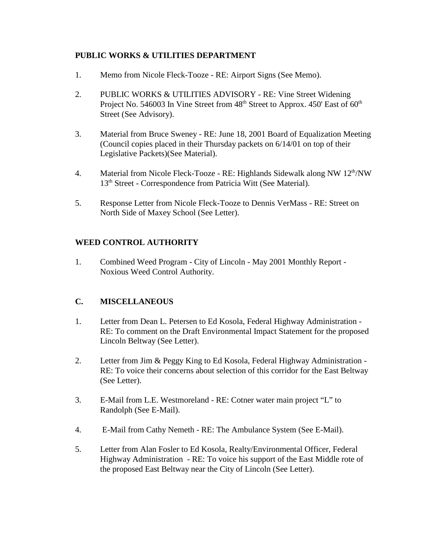## **PUBLIC WORKS & UTILITIES DEPARTMENT**

- 1. Memo from Nicole Fleck-Tooze RE: Airport Signs (See Memo).
- 2. PUBLIC WORKS & UTILITIES ADVISORY RE: Vine Street Widening Project No. 546003 In Vine Street from 48<sup>th</sup> Street to Approx. 450' East of 60<sup>th</sup> Street (See Advisory).
- 3. Material from Bruce Sweney RE: June 18, 2001 Board of Equalization Meeting (Council copies placed in their Thursday packets on 6/14/01 on top of their Legislative Packets)(See Material).
- 4. Material from Nicole Fleck-Tooze RE: Highlands Sidewalk along NW 12<sup>th</sup>/NW 13<sup>th</sup> Street - Correspondence from Patricia Witt (See Material).
- 5. Response Letter from Nicole Fleck-Tooze to Dennis VerMass RE: Street on North Side of Maxey School (See Letter).

## **WEED CONTROL AUTHORITY**

1. Combined Weed Program - City of Lincoln - May 2001 Monthly Report - Noxious Weed Control Authority.

## **C. MISCELLANEOUS**

- 1. Letter from Dean L. Petersen to Ed Kosola, Federal Highway Administration RE: To comment on the Draft Environmental Impact Statement for the proposed Lincoln Beltway (See Letter).
- 2. Letter from Jim & Peggy King to Ed Kosola, Federal Highway Administration RE: To voice their concerns about selection of this corridor for the East Beltway (See Letter).
- 3. E-Mail from L.E. Westmoreland RE: Cotner water main project "L" to Randolph (See E-Mail).
- 4. E-Mail from Cathy Nemeth RE: The Ambulance System (See E-Mail).
- 5. Letter from Alan Fosler to Ed Kosola, Realty/Environmental Officer, Federal Highway Administration - RE: To voice his support of the East Middle rote of the proposed East Beltway near the City of Lincoln (See Letter).